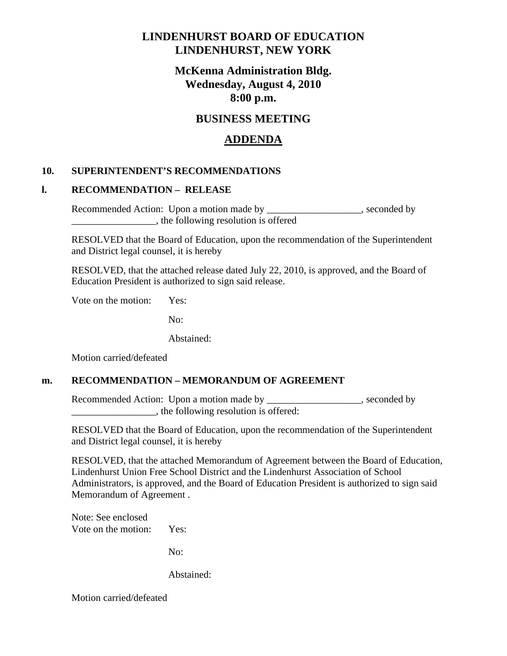# **LINDENHURST BOARD OF EDUCATION LINDENHURST, NEW YORK**

# **McKenna Administration Bldg. Wednesday, August 4, 2010 8:00 p.m.**

## **BUSINESS MEETING**

# **ADDENDA**

### **10. SUPERINTENDENT'S RECOMMENDATIONS**

#### **l. RECOMMENDATION – RELEASE**

Recommended Action: Upon a motion made by \_\_\_\_\_\_\_\_\_\_\_\_\_\_\_\_\_\_, seconded by \_\_\_\_\_\_\_\_\_\_\_\_\_\_\_\_\_, the following resolution is offered

 RESOLVED that the Board of Education, upon the recommendation of the Superintendent and District legal counsel, it is hereby

 RESOLVED, that the attached release dated July 22, 2010, is approved, and the Board of Education President is authorized to sign said release.

Vote on the motion: Yes:

No:

Abstained:

Motion carried/defeated

#### **m. RECOMMENDATION – MEMORANDUM OF AGREEMENT**

Recommended Action: Upon a motion made by \_\_\_\_\_\_\_\_\_\_\_\_\_\_\_\_\_\_, seconded by \_\_\_\_\_\_\_\_\_\_\_\_\_\_\_\_\_, the following resolution is offered:

 RESOLVED that the Board of Education, upon the recommendation of the Superintendent and District legal counsel, it is hereby

 RESOLVED, that the attached Memorandum of Agreement between the Board of Education, Lindenhurst Union Free School District and the Lindenhurst Association of School Administrators, is approved, and the Board of Education President is authorized to sign said Memorandum of Agreement .

 Note: See enclosed Vote on the motion: Yes:

No:

Abstained:

Motion carried/defeated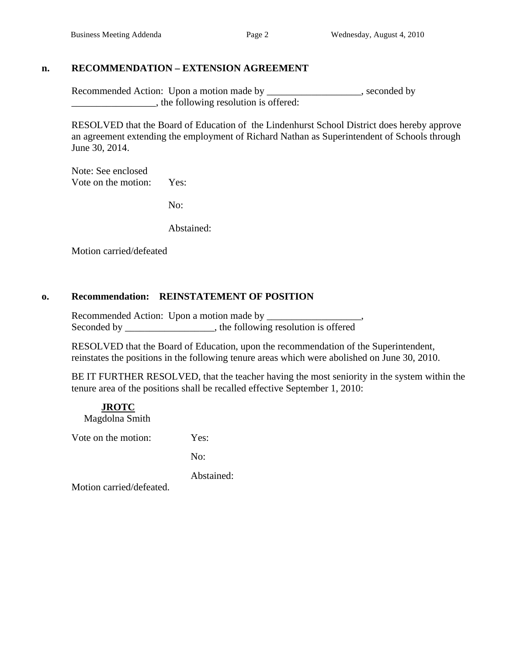#### **n. RECOMMENDATION – EXTENSION AGREEMENT**

Recommended Action: Upon a motion made by \_\_\_\_\_\_\_\_\_\_\_\_\_\_\_\_\_, seconded by \_\_\_\_\_\_\_\_\_\_\_\_\_\_\_\_\_, the following resolution is offered:

 RESOLVED that the Board of Education of the Lindenhurst School District does hereby approve an agreement extending the employment of Richard Nathan as Superintendent of Schools through June 30, 2014.

 Note: See enclosed Vote on the motion: Yes:

No:

Abstained:

Motion carried/defeated

#### **o. Recommendation: REINSTATEMENT OF POSITION**

 Recommended Action: Upon a motion made by \_\_\_\_\_\_\_\_\_\_\_\_\_\_\_\_\_\_\_, Seconded by \_\_\_\_\_\_\_\_\_\_\_\_\_\_\_\_, the following resolution is offered

RESOLVED that the Board of Education, upon the recommendation of the Superintendent, reinstates the positions in the following tenure areas which were abolished on June 30, 2010.

BE IT FURTHER RESOLVED, that the teacher having the most seniority in the system within the tenure area of the positions shall be recalled effective September 1, 2010:

 **JROTC** Magdolna Smith

Vote on the motion: Yes:

No:

Abstained:

Motion carried/defeated.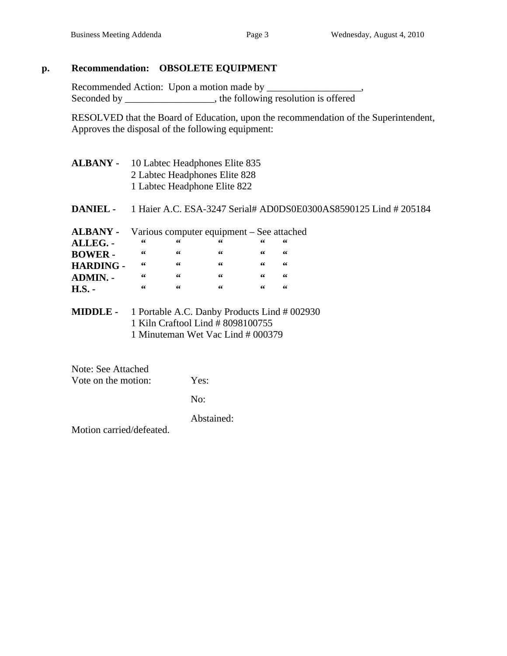## **p. Recommendation: OBSOLETE EQUIPMENT**

 Recommended Action: Upon a motion made by \_\_\_\_\_\_\_\_\_\_\_\_\_\_\_\_\_\_\_, Seconded by \_\_\_\_\_\_\_\_\_\_\_\_\_\_, the following resolution is offered

RESOLVED that the Board of Education, upon the recommendation of the Superintendent, Approves the disposal of the following equipment:

| <b>ALBANY -</b>  | 10 Labtec Headphones Elite 835<br>2 Labtec Headphones Elite 828<br>1 Labtec Headphone Elite 822 |           |                                           |    |    |  |  |
|------------------|-------------------------------------------------------------------------------------------------|-----------|-------------------------------------------|----|----|--|--|
|                  |                                                                                                 |           |                                           |    |    |  |  |
|                  |                                                                                                 |           |                                           |    |    |  |  |
| <b>ALBANY -</b>  |                                                                                                 |           | Various computer equipment – See attached |    |    |  |  |
| ALLEG. -         | 66                                                                                              | 66        | 66                                        | 66 | 66 |  |  |
| <b>BOWER-</b>    | 66                                                                                              | 66        | 66                                        | 66 | 66 |  |  |
| <b>HARDING -</b> | 66                                                                                              | -66       | 66                                        | 66 | 66 |  |  |
| <b>ADMIN. -</b>  | 66                                                                                              | $\sim$ 66 | 66                                        | 66 | 66 |  |  |
| $H.S. -$         | 66                                                                                              | 66        | 66                                        | 66 | 66 |  |  |
| <b>MIDDLE -</b>  | 1 Portable A.C. Danby Products Lind # 002930                                                    |           |                                           |    |    |  |  |
|                  | 1 Kiln Craftool Lind # 8098100755                                                               |           |                                           |    |    |  |  |
|                  | 1 Minuteman Wet Vac Lind # 000379                                                               |           |                                           |    |    |  |  |

 Note: See Attached Vote on the motion: Yes:

No:

Abstained:

Motion carried/defeated.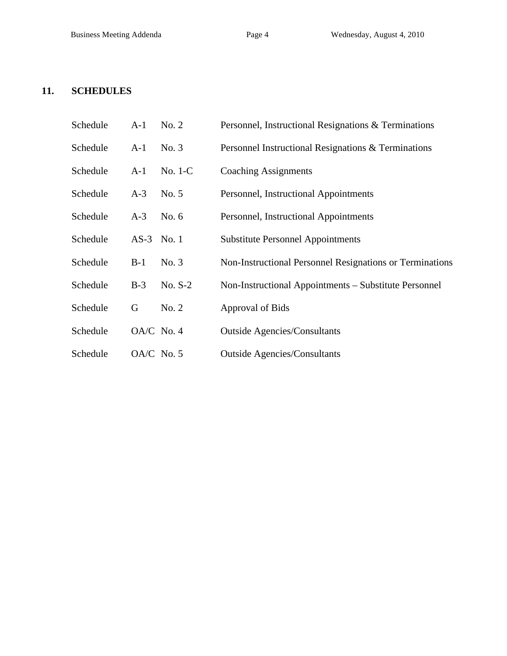## **11. SCHEDULES**

| Schedule | $A-1$ | No. 2      | Personnel, Instructional Resignations & Terminations     |
|----------|-------|------------|----------------------------------------------------------|
| Schedule | $A-1$ | No. 3      | Personnel Instructional Resignations & Terminations      |
| Schedule | $A-1$ | $No. 1-C$  | <b>Coaching Assignments</b>                              |
| Schedule | $A-3$ | No. 5      | Personnel, Instructional Appointments                    |
| Schedule | $A-3$ | No. $6$    | Personnel, Instructional Appointments                    |
| Schedule |       | AS-3 No. 1 | <b>Substitute Personnel Appointments</b>                 |
| Schedule | $B-1$ | No. 3      | Non-Instructional Personnel Resignations or Terminations |
| Schedule | $B-3$ | $No. S-2$  | Non-Instructional Appointments – Substitute Personnel    |
| Schedule | G     | No. 2      | Approval of Bids                                         |
| Schedule |       | OA/C No. 4 | <b>Outside Agencies/Consultants</b>                      |
| Schedule |       | OA/C No. 5 | <b>Outside Agencies/Consultants</b>                      |